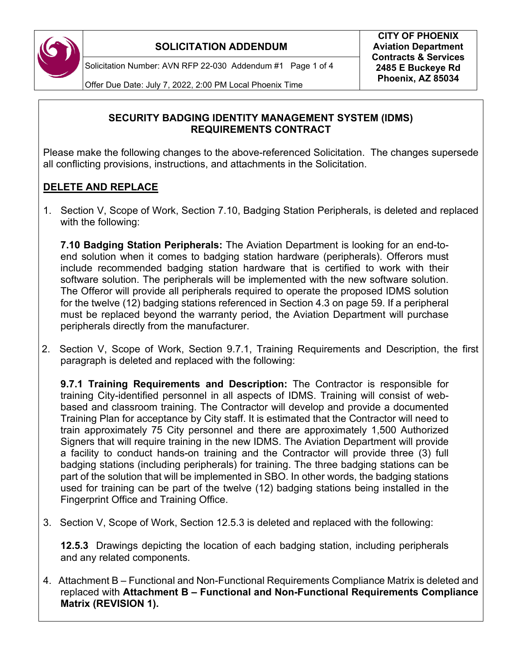

Solicitation Number: AVN RFP 22-030 Addendum #1 Page 1 of 4

Offer Due Date: July 7, 2022, 2:00 PM Local Phoenix Time

#### **SECURITY BADGING IDENTITY MANAGEMENT SYSTEM (IDMS) REQUIREMENTS CONTRACT**

Please make the following changes to the above-referenced Solicitation. The changes supersede all conflicting provisions, instructions, and attachments in the Solicitation.

### **DELETE AND REPLACE**

1.Section V, Scope of Work, Section 7.10, Badging Station Peripherals, is deleted and replaced with the following:

**7.10 Badging Station Peripherals:** The Aviation Department is looking for an end-toend solution when it comes to badging station hardware (peripherals). Offerors must include recommended badging station hardware that is certified to work with their software solution. The peripherals will be implemented with the new software solution. The Offeror will provide all peripherals required to operate the proposed IDMS solution for the twelve (12) badging stations referenced in Section 4.3 on page 59. If a peripheral must be replaced beyond the warranty period, the Aviation Department will purchase peripherals directly from the manufacturer.

2.Section V, Scope of Work, Section 9.7.1, Training Requirements and Description, the first paragraph is deleted and replaced with the following:

**9.7.1 Training Requirements and Description:** The Contractor is responsible for training City-identified personnel in all aspects of IDMS. Training will consist of webbased and classroom training. The Contractor will develop and provide a documented Training Plan for acceptance by City staff. It is estimated that the Contractor will need to train approximately 75 City personnel and there are approximately 1,500 Authorized Signers that will require training in the new IDMS. The Aviation Department will provide a facility to conduct hands-on training and the Contractor will provide three (3) full badging stations (including peripherals) for training. The three badging stations can be part of the solution that will be implemented in SBO. In other words, the badging stations used for training can be part of the twelve (12) badging stations being installed in the Fingerprint Office and Training Office.

3.Section V, Scope of Work, Section 12.5.3 is deleted and replaced with the following:

**12.5.3** Drawings depicting the location of each badging station, including peripherals and any related components.

4. Attachment B – Functional and Non-Functional Requirements Compliance Matrix is deleted and replaced with **Attachment B – Functional and Non-Functional Requirements Compliance Matrix (REVISION 1).**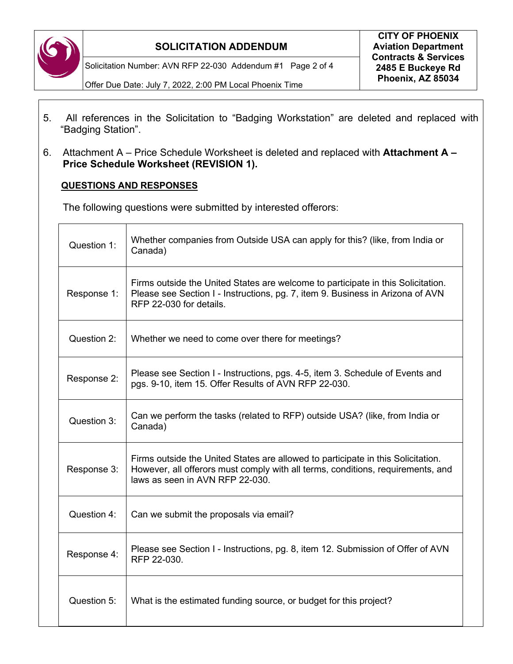

Solicitation Number: AVN RFP 22-030 Addendum #1 Page 2 of 4

Offer Due Date: July 7, 2022, 2:00 PM Local Phoenix Time

- 5. All references in the Solicitation to "Badging Workstation" are deleted and replaced with "Badging Station".
- 6. Attachment A Price Schedule Worksheet is deleted and replaced with **Attachment A Price Schedule Worksheet (REVISION 1).**

#### **QUESTIONS AND RESPONSES**

The following questions were submitted by interested offerors:

| Question 1: | Whether companies from Outside USA can apply for this? (like, from India or<br>Canada)                                                                                                                 |
|-------------|--------------------------------------------------------------------------------------------------------------------------------------------------------------------------------------------------------|
| Response 1: | Firms outside the United States are welcome to participate in this Solicitation.<br>Please see Section I - Instructions, pg. 7, item 9. Business in Arizona of AVN<br>RFP 22-030 for details.          |
| Question 2: | Whether we need to come over there for meetings?                                                                                                                                                       |
| Response 2: | Please see Section I - Instructions, pgs. 4-5, item 3. Schedule of Events and<br>pgs. 9-10, item 15. Offer Results of AVN RFP 22-030.                                                                  |
| Question 3: | Can we perform the tasks (related to RFP) outside USA? (like, from India or<br>Canada)                                                                                                                 |
| Response 3: | Firms outside the United States are allowed to participate in this Solicitation.<br>However, all offerors must comply with all terms, conditions, requirements, and<br>laws as seen in AVN RFP 22-030. |
| Question 4: | Can we submit the proposals via email?                                                                                                                                                                 |
| Response 4: | Please see Section I - Instructions, pg. 8, item 12. Submission of Offer of AVN<br>RFP 22-030.                                                                                                         |
| Question 5: | What is the estimated funding source, or budget for this project?                                                                                                                                      |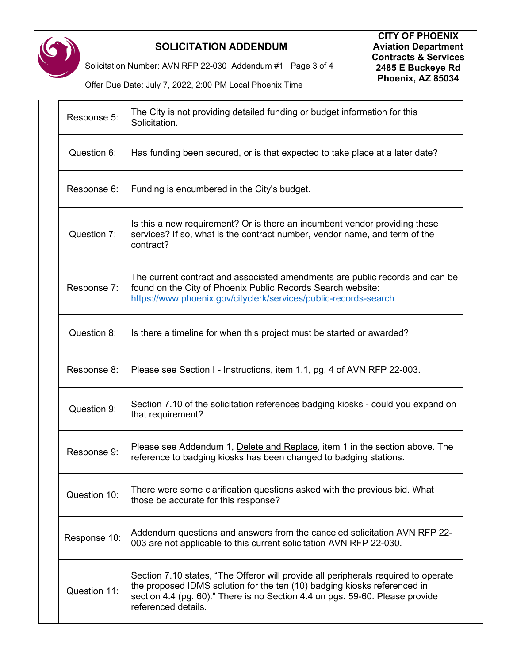

Solicitation Number: AVN RFP 22-030 Addendum #1 Page 3 of 4

Offer Due Date: July 7, 2022, 2:00 PM Local Phoenix Time

| Response 5:  | The City is not providing detailed funding or budget information for this<br>Solicitation.                                                                                                                                                                            |
|--------------|-----------------------------------------------------------------------------------------------------------------------------------------------------------------------------------------------------------------------------------------------------------------------|
| Question 6:  | Has funding been secured, or is that expected to take place at a later date?                                                                                                                                                                                          |
| Response 6:  | Funding is encumbered in the City's budget.                                                                                                                                                                                                                           |
| Question 7:  | Is this a new requirement? Or is there an incumbent vendor providing these<br>services? If so, what is the contract number, vendor name, and term of the<br>contract?                                                                                                 |
| Response 7:  | The current contract and associated amendments are public records and can be<br>found on the City of Phoenix Public Records Search website:<br>https://www.phoenix.gov/cityclerk/services/public-records-search                                                       |
| Question 8:  | Is there a timeline for when this project must be started or awarded?                                                                                                                                                                                                 |
| Response 8:  | Please see Section I - Instructions, item 1.1, pg. 4 of AVN RFP 22-003.                                                                                                                                                                                               |
| Question 9:  | Section 7.10 of the solicitation references badging kiosks - could you expand on<br>that requirement?                                                                                                                                                                 |
| Response 9:  | Please see Addendum 1, Delete and Replace, item 1 in the section above. The<br>reference to badging kiosks has been changed to badging stations.                                                                                                                      |
| Question 10: | There were some clarification questions asked with the previous bid. What<br>those be accurate for this response?                                                                                                                                                     |
| Response 10: | Addendum questions and answers from the canceled solicitation AVN RFP 22-<br>003 are not applicable to this current solicitation AVN RFP 22-030.                                                                                                                      |
| Question 11: | Section 7.10 states, "The Offeror will provide all peripherals required to operate<br>the proposed IDMS solution for the ten (10) badging kiosks referenced in<br>section 4.4 (pg. 60)." There is no Section 4.4 on pgs. 59-60. Please provide<br>referenced details. |